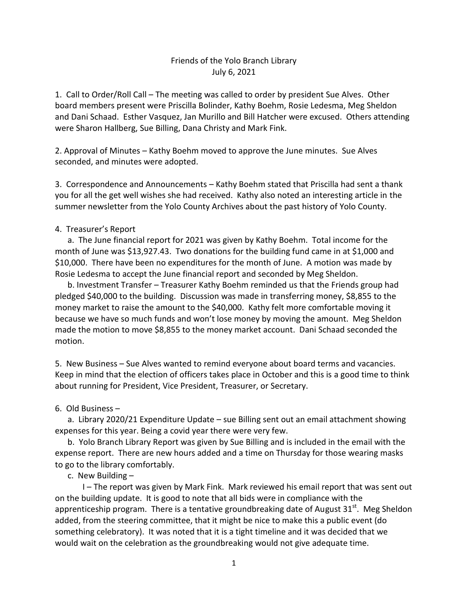## Friends of the Yolo Branch Library July 6, 2021

1. Call to Order/Roll Call – The meeting was called to order by president Sue Alves. Other board members present were Priscilla Bolinder, Kathy Boehm, Rosie Ledesma, Meg Sheldon and Dani Schaad. Esther Vasquez, Jan Murillo and Bill Hatcher were excused. Others attending were Sharon Hallberg, Sue Billing, Dana Christy and Mark Fink.

2. Approval of Minutes – Kathy Boehm moved to approve the June minutes. Sue Alves seconded, and minutes were adopted.

3. Correspondence and Announcements – Kathy Boehm stated that Priscilla had sent a thank you for all the get well wishes she had received. Kathy also noted an interesting article in the summer newsletter from the Yolo County Archives about the past history of Yolo County.

## 4. Treasurer's Report

 a. The June financial report for 2021 was given by Kathy Boehm. Total income for the month of June was \$13,927.43. Two donations for the building fund came in at \$1,000 and \$10,000. There have been no expenditures for the month of June. A motion was made by Rosie Ledesma to accept the June financial report and seconded by Meg Sheldon.

 b. Investment Transfer – Treasurer Kathy Boehm reminded us that the Friends group had pledged \$40,000 to the building. Discussion was made in transferring money, \$8,855 to the money market to raise the amount to the \$40,000. Kathy felt more comfortable moving it because we have so much funds and won't lose money by moving the amount. Meg Sheldon made the motion to move \$8,855 to the money market account. Dani Schaad seconded the motion.

5. New Business – Sue Alves wanted to remind everyone about board terms and vacancies. Keep in mind that the election of officers takes place in October and this is a good time to think about running for President, Vice President, Treasurer, or Secretary.

## 6. Old Business –

 a. Library 2020/21 Expenditure Update – sue Billing sent out an email attachment showing expenses for this year. Being a covid year there were very few.

 b. Yolo Branch Library Report was given by Sue Billing and is included in the email with the expense report. There are new hours added and a time on Thursday for those wearing masks to go to the library comfortably.

c. New Building –

I – The report was given by Mark Fink. Mark reviewed his email report that was sent out on the building update. It is good to note that all bids were in compliance with the apprenticeship program. There is a tentative groundbreaking date of August 31<sup>st</sup>. Meg Sheldon added, from the steering committee, that it might be nice to make this a public event (do something celebratory). It was noted that it is a tight timeline and it was decided that we would wait on the celebration as the groundbreaking would not give adequate time.